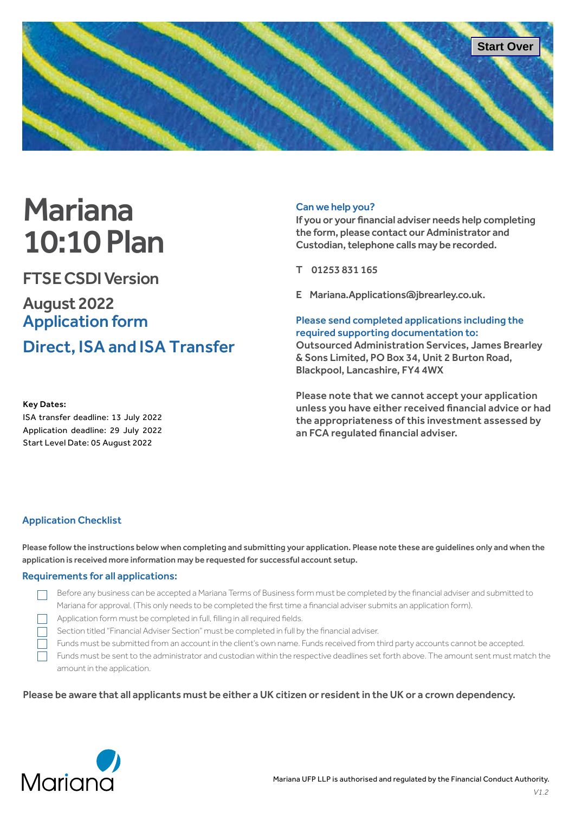

# Mariana 10:10 Plan

FTSE CSDIVersion

# August 2022 Application form

Direct, ISA and ISA Transfer

#### Key Dates:

ISA transfer deadline: 13 July 2022 Application deadline: 29 July 2022 Start Level Date: 05 August 2022

#### Can we help you?

If you or your financial adviser needs help completing the form, please contact our Administrator and Custodian, telephone calls may be recorded.

T 01253 831 165

E Mariana.Applications@jbrearley.co.uk.

#### Please send completed applications including the required supporting documentation to:

Outsourced Administration Services, James Brearley & Sons Limited, PO Box 34, Unit 2 Burton Road, Blackpool, Lancashire, FY4 4WX

Please note that we cannot accept your application unless you have either received financial advice or had the appropriateness of this investment assessed by an FCA regulated financial adviser.

#### Application Checklist

Please follow the instructions below when completing and submitting your application. Please note these are guidelines only and when the application is received more information may be requested for successful account setup.

#### Requirements for all applications:

- Before any business can be accepted a Mariana Terms of Business form must be completed by the financial adviser and submitted to Mariana for approval. (This only needs to be completed the first time a financial adviser submits an application form).
- Application form must be completed in full, filling in all required fields.
- Section titled "Financial Adviser Section" must be completed in full by the financial adviser.
- Funds must be submitted from an account in the client's own name. Funds received from third party accounts cannot be accepted.
- Funds must be sent to the administrator and custodian within the respective deadlines set forth above. The amount sent must match the amount in the application.

Please be aware that all applicants must be either a UK citizen or resident in the UK or a crown dependency.

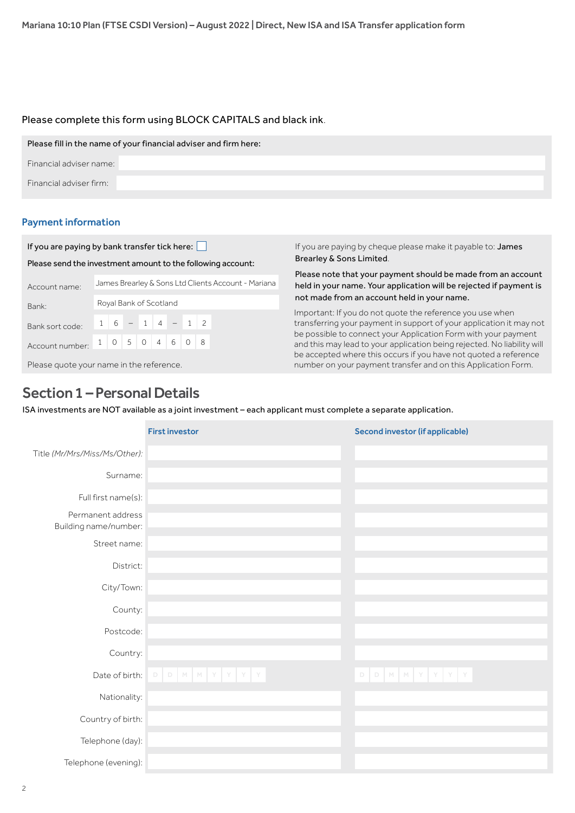#### Please complete this form using BLOCK CAPITALS and black ink.

Please fill in the name of your financial adviser and firm here:

| Financial adviser name: |  |  |  |
|-------------------------|--|--|--|
| Financial adviser firm: |  |  |  |

#### Payment information

| If you are paying by bank transfer tick here:               |                        |  |  |  |  |                                               |   |                                                     |  |
|-------------------------------------------------------------|------------------------|--|--|--|--|-----------------------------------------------|---|-----------------------------------------------------|--|
| Please send the investment amount to the following account: |                        |  |  |  |  |                                               |   |                                                     |  |
| Account name:                                               |                        |  |  |  |  |                                               |   | James Brearley & Sons Ltd Clients Account - Mariana |  |
| Bank:                                                       | Royal Bank of Scotland |  |  |  |  |                                               |   |                                                     |  |
| Bank sort code:                                             |                        |  |  |  |  | $1 \t6 - 1 \t4 - 1 \t2$                       |   |                                                     |  |
| Account number:                                             |                        |  |  |  |  | $1 \mid 0 \mid 5 \mid 0 \mid 4 \mid 6 \mid 0$ | 8 |                                                     |  |
| Please quote your name in the reference.                    |                        |  |  |  |  |                                               |   |                                                     |  |

### Section 1 – Personal Details

If you are paying by cheque please make it payable to: James Brearley & Sons Limited.

Please note that your payment should be made from an account held in your name. Your application will be rejected if payment is not made from an account held in your name.

Important: If you do not quote the reference you use when transferring your payment in support of your application it may not be possible to connect your Application Form with your payment and this may lead to your application being rejected. No liability will be accepted where this occurs if you have not quoted a reference number on your payment transfer and on this Application Form.

ISA investments are NOT available as a joint investment – each applicant must complete a separate application.

|                                            | <b>First investor</b> | <b>Second investor (if applicable)</b> |
|--------------------------------------------|-----------------------|----------------------------------------|
| Title (Mr/Mrs/Miss/Ms/Other):              |                       |                                        |
| Surname:                                   |                       |                                        |
| Full first name(s):                        |                       |                                        |
| Permanent address<br>Building name/number: |                       |                                        |
| Street name:                               |                       |                                        |
| District:                                  |                       |                                        |
| City/Town:                                 |                       |                                        |
| County:                                    |                       |                                        |
| Postcode:                                  |                       |                                        |
| Country:                                   |                       |                                        |
| Date of birth:                             | D D M M Y Y Y Y       | D D M M Y Y Y Y                        |
| Nationality:                               |                       |                                        |
| Country of birth:                          |                       |                                        |
| Telephone (day):                           |                       |                                        |
| Telephone (evening):                       |                       |                                        |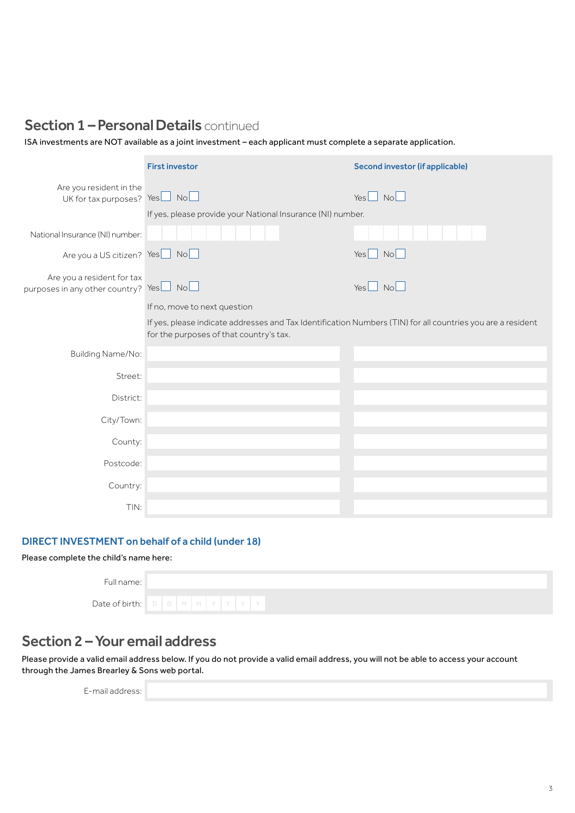### **Section 1 – Personal Details** continued

ISA investments are NOT available as a joint investment – each applicant must complete a separate application.

|                                                                      | <b>First investor</b>                                                                                                                                  | <b>Second investor (if applicable)</b> |
|----------------------------------------------------------------------|--------------------------------------------------------------------------------------------------------------------------------------------------------|----------------------------------------|
| Are you resident in the<br>UK for tax purposes? Yes $\Box$ No $\Box$ |                                                                                                                                                        | No<br>Yes                              |
|                                                                      | If yes, please provide your National Insurance (NI) number.                                                                                            |                                        |
| National Insurance (NI) number:                                      |                                                                                                                                                        |                                        |
| Are you a US citizen? Yes   No                                       |                                                                                                                                                        | Yes<br>$\overline{\text{No}}$          |
| Are you a resident for tax<br>purposes in any other country? Yes     | $\Box$ No $\Box$                                                                                                                                       | Nol<br>Yes                             |
|                                                                      | If no, move to next question                                                                                                                           |                                        |
|                                                                      | If yes, please indicate addresses and Tax Identification Numbers (TIN) for all countries you are a resident<br>for the purposes of that country's tax. |                                        |
| Building Name/No:                                                    |                                                                                                                                                        |                                        |
| Street:                                                              |                                                                                                                                                        |                                        |
| District:                                                            |                                                                                                                                                        |                                        |
| City/Town:                                                           |                                                                                                                                                        |                                        |
| County:                                                              |                                                                                                                                                        |                                        |
| Postcode:                                                            |                                                                                                                                                        |                                        |
| Country:                                                             |                                                                                                                                                        |                                        |
| TIN:                                                                 |                                                                                                                                                        |                                        |

#### DIRECT INVESTMENT on behalf of a child (under 18)

Please complete the child's name here:

| Full name: |                                                |
|------------|------------------------------------------------|
|            | Date of birth: $D   D   M   M   Y   Y   Y   Y$ |

### Section 2 – Your email address

Please provide a valid email address below. If you do not provide a valid email address, you will not be able to access your account through the James Brearley & Sons web portal.

| E-mail address: |  |
|-----------------|--|
|                 |  |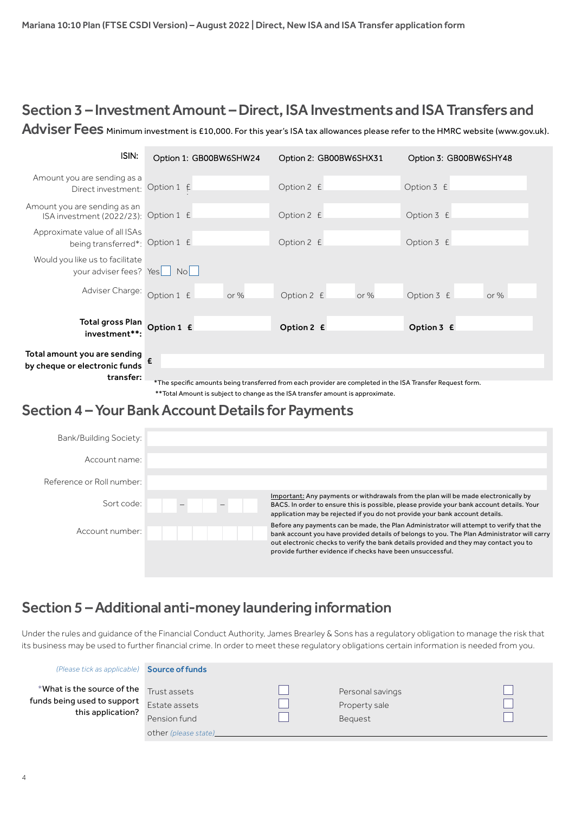## Section 3 – Investment Amount – Direct, ISA Investments and ISA Transfers and

Adviser Fees Minimum investment is £10,000. For this year's ISA tax allowances please refer to the HMRC website (www.gov.uk).

| ISIN:                                                                      | Option 1: GB00BW6SHW24 | Option 2: GB00BW6SHX31                                                                                     | Option 3: GB00BW6SHY48 |
|----------------------------------------------------------------------------|------------------------|------------------------------------------------------------------------------------------------------------|------------------------|
| Amount you are sending as a<br>Direct investment: Option 1 £               |                        | Option 2 £                                                                                                 | Option 3 £             |
| Amount you are sending as an<br>ISA investment (2022/23): Option 1 £       |                        | Option 2 £                                                                                                 | Option 3 £             |
| Approximate value of all ISAs<br>being transferred*: Option 1 £            |                        | Option 2 £                                                                                                 | Option 3 £             |
| Would you like us to facilitate<br>your adviser fees? Yes                  | No                     |                                                                                                            |                        |
| Adviser Charge: Option 1 £                                                 | $or\%$                 | Option 2 £<br>$or %$                                                                                       | Option 3 £<br>or $%$   |
| Total gross Plan<br>Option 1 £<br>investment**:                            |                        | Option 2 £                                                                                                 | Option 3 £             |
| Total amount you are sending<br>by cheque or electronic funds<br>transfer: |                        | *The specific amounts being transferred from each provider are completed in the ISA Transfer Request form. |                        |

#### \*\*Total Amount is subject to change as the ISA transfer amount is approximate.

### Section 4 – Your Bank Account Details for Payments

| Bank/Building Society:    |                                                                                                                                                                                                                                                                                                                                               |
|---------------------------|-----------------------------------------------------------------------------------------------------------------------------------------------------------------------------------------------------------------------------------------------------------------------------------------------------------------------------------------------|
| Account name:             |                                                                                                                                                                                                                                                                                                                                               |
| Reference or Roll number: |                                                                                                                                                                                                                                                                                                                                               |
| Sort code:                | Important: Any payments or withdrawals from the plan will be made electronically by<br>BACS. In order to ensure this is possible, please provide your bank account details. Your<br>application may be rejected if you do not provide your bank account details.                                                                              |
| Account number:           | Before any payments can be made, the Plan Administrator will attempt to verify that the<br>bank account you have provided details of belongs to you. The Plan Administrator will carry<br>out electronic checks to verify the bank details provided and they may contact you to<br>provide further evidence if checks have been unsuccessful. |

### Section 5 – Additional anti-money laundering information

Under the rules and guidance of the Financial Conduct Authority, James Brearley & Sons has a regulatory obligation to manage the risk that its business may be used to further financial crime. In order to meet these regulatory obligations certain information is needed from you.

| (Please tick as applicable) Source of funds                                    |                                                                       |                                                     |  |
|--------------------------------------------------------------------------------|-----------------------------------------------------------------------|-----------------------------------------------------|--|
| *What is the source of the<br>funds being used to support<br>this application? | Trust assets<br>Estate assets<br>Pension fund<br>other (please state) | Personal savings<br>Property sale<br><b>Bequest</b> |  |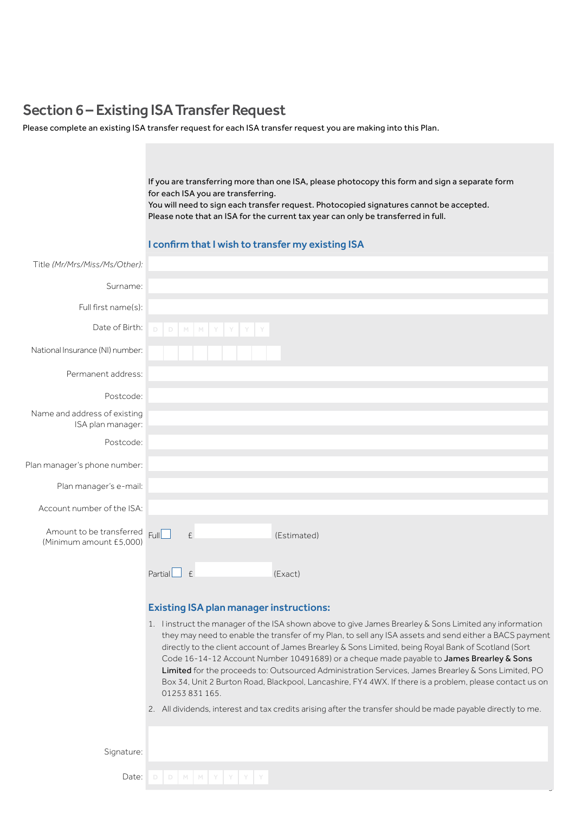### Section 6 – Existing ISA Transfer Request

Please complete an existing ISA transfer request for each ISA transfer request you are making into this Plan.

If you are transferring more than one ISA, please photocopy this form and sign a separate form for each ISA you are transferring. You will need to sign each transfer request. Photocopied signatures cannot be accepted. Please note that an ISA for the current tax year can only be transferred in full. I confirm that I wish to transfer my existing ISA Title *(Mr/Mrs/Miss/Ms/Other):* Surname: Full first name(s): Date of Birth: National Insurance (NI) number: Permanent address: Postcode: Name and address of existing ISA plan manager: Postcode: Plan manager's phone number: Plan manager's e-mail: Account number of the ISA: Amount to be transferred Full (Minimum amount £5,000) Full £ (Estimated) Partial £ (Exact)

#### Existing ISA plan manager instructions:

- 1. I instruct the manager of the ISA shown above to give James Brearley & Sons Limited any information they may need to enable the transfer of my Plan, to sell any ISA assets and send either a BACS payment directly to the client account of James Brearley & Sons Limited, being Royal Bank of Scotland (Sort Code 16-14-12 Account Number 10491689) or a cheque made payable to James Brearley & Sons Limited for the proceeds to: Outsourced Administration Services, James Brearley & Sons Limited, PO Box 34, Unit 2 Burton Road, Blackpool, Lancashire, FY4 4WX. If there is a problem, please contact us on 01253 831 165.
- 2. All dividends, interest and tax credits arising after the transfer should be made payable directly to me.

5

#### Signature:

Date:  $D$  D  $M$   $M$   $\gamma$   $\gamma$   $\gamma$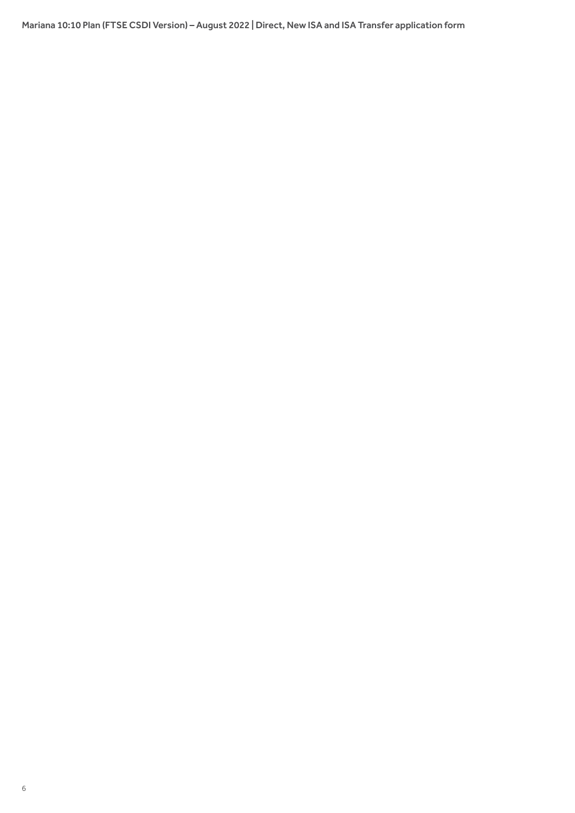Mariana 10:10 Plan (FTSE CSDI Version) – August 2022 | Direct, New ISA and ISA Transfer application form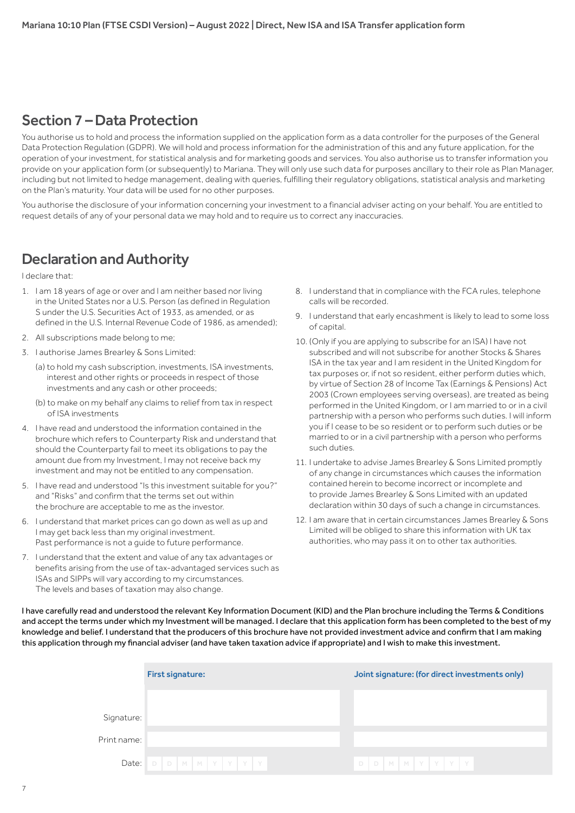### Section 7 – Data Protection

You authorise us to hold and process the information supplied on the application form as a data controller for the purposes of the General Data Protection Regulation (GDPR). We will hold and process information for the administration of this and any future application, for the operation of your investment, for statistical analysis and for marketing goods and services. You also authorise us to transfer information you provide on your application form (or subsequently) to Mariana. They will only use such data for purposes ancillary to their role as Plan Manager, including but not limited to hedge management, dealing with queries, fulfilling their regulatory obligations, statistical analysis and marketing on the Plan's maturity. Your data will be used for no other purposes.

You authorise the disclosure of your information concerning your investment to a financial adviser acting on your behalf. You are entitled to request details of any of your personal data we may hold and to require us to correct any inaccuracies.

### Declaration and Authority

I declare that:

- 1. I am 18 years of age or over and I am neither based nor living in the United States nor a U.S. Person (as defined in Regulation S under the U.S. Securities Act of 1933, as amended, or as defined in the U.S. Internal Revenue Code of 1986, as amended);
- 2. All subscriptions made belong to me;
- 3. I authorise James Brearley & Sons Limited:
	- (a) to hold my cash subscription, investments, ISA investments, interest and other rights or proceeds in respect of those investments and any cash or other proceeds;
	- (b) to make on my behalf any claims to relief from tax in respect of ISA investments
- 4. I have read and understood the information contained in the brochure which refers to Counterparty Risk and understand that should the Counterparty fail to meet its obligations to pay the amount due from my Investment, I may not receive back my investment and may not be entitled to any compensation.
- 5. I have read and understood "Is this investment suitable for you?" and "Risks" and confirm that the terms set out within the brochure are acceptable to me as the investor.
- 6. I understand that market prices can go down as well as up and I may get back less than my original investment. Past performance is not a guide to future performance.
- 7. I understand that the extent and value of any tax advantages or benefits arising from the use of tax-advantaged services such as ISAs and SIPPs will vary according to my circumstances. The levels and bases of taxation may also change.
- 8. I understand that in compliance with the FCA rules, telephone calls will be recorded.
- 9. I understand that early encashment is likely to lead to some loss of capital.
- 10. (Only if you are applying to subscribe for an ISA) I have not subscribed and will not subscribe for another Stocks & Shares ISA in the tax year and I am resident in the United Kingdom for tax purposes or, if not so resident, either perform duties which, by virtue of Section 28 of Income Tax (Earnings & Pensions) Act 2003 (Crown employees serving overseas), are treated as being performed in the United Kingdom, or I am married to or in a civil partnership with a person who performs such duties. I will inform you if I cease to be so resident or to perform such duties or be married to or in a civil partnership with a person who performs such duties.
- 11. I undertake to advise James Brearley & Sons Limited promptly of any change in circumstances which causes the information contained herein to become incorrect or incomplete and to provide James Brearley & Sons Limited with an updated declaration within 30 days of such a change in circumstances.
- 12. I am aware that in certain circumstances James Brearley & Sons Limited will be obliged to share this information with UK tax authorities, who may pass it on to other tax authorities.

I have carefully read and understood the relevant Key Information Document (KID) and the Plan brochure including the Terms & Conditions and accept the terms under which my Investment will be managed. I declare that this application form has been completed to the best of my knowledge and belief. I understand that the producers of this brochure have not provided investment advice and confirm that I am making this application through my financial adviser (and have taken taxation advice if appropriate) and I wish to make this investment.

|             | <b>First signature:</b>       | Joint signature: (for direct investments only) |
|-------------|-------------------------------|------------------------------------------------|
|             |                               |                                                |
| Signature:  |                               |                                                |
| Print name: |                               |                                                |
|             | Date: $D$ $D$ $M$ $M$ $Y$ $Y$ | $D   D   M   M   Y   Y   Y   Y$                |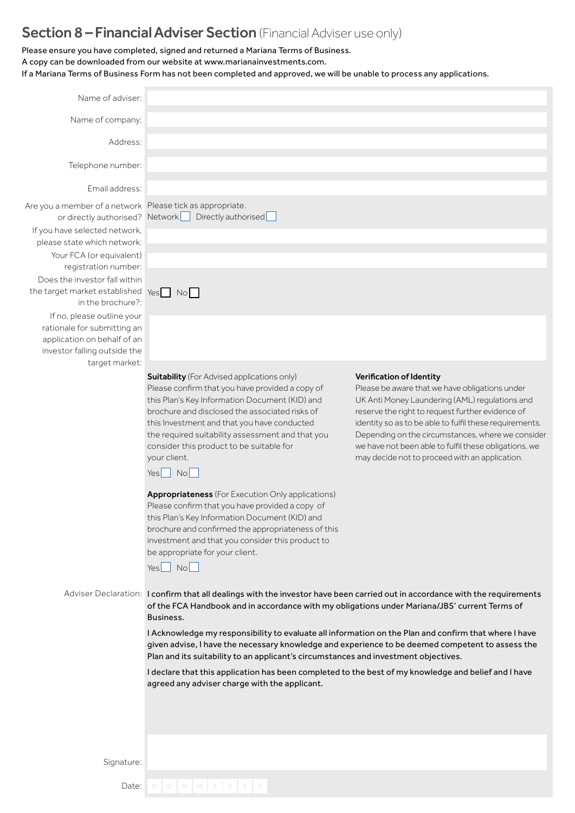### Section 8 – Financial Adviser Section (Financial Adviser use only)

Please ensure you have completed, signed and returned a Mariana Terms of Business. A copy can be downloaded from our website at www.marianainvestments.com.

If a Mariana Terms of Business Form has not been completed and approved, we will be unable to process any applications.

| Name of adviser:                                                                                                         |                                                                                                                                                         |                                                                                                                              |
|--------------------------------------------------------------------------------------------------------------------------|---------------------------------------------------------------------------------------------------------------------------------------------------------|------------------------------------------------------------------------------------------------------------------------------|
| Name of company:                                                                                                         |                                                                                                                                                         |                                                                                                                              |
|                                                                                                                          |                                                                                                                                                         |                                                                                                                              |
| Address:                                                                                                                 |                                                                                                                                                         |                                                                                                                              |
| Telephone number:                                                                                                        |                                                                                                                                                         |                                                                                                                              |
| Email address:                                                                                                           |                                                                                                                                                         |                                                                                                                              |
| Are you a member of a network Please tick as appropriate.<br>or directly authorised? Network                             | $Directly$ authorised                                                                                                                                   |                                                                                                                              |
| If you have selected network,<br>please state which network:                                                             |                                                                                                                                                         |                                                                                                                              |
| Your FCA (or equivalent)<br>registration number:                                                                         |                                                                                                                                                         |                                                                                                                              |
| Does the investor fall within                                                                                            |                                                                                                                                                         |                                                                                                                              |
| in the brochure?:                                                                                                        |                                                                                                                                                         |                                                                                                                              |
| If no, please outline your<br>rationale for submitting an<br>application on behalf of an<br>investor falling outside the |                                                                                                                                                         |                                                                                                                              |
| target market:                                                                                                           | <b>Suitability</b> (For Advised applications only)<br>Please confirm that you have provided a copy of<br>this Plan's Key Information Document (KID) and | Verification of Identity<br>Please be aware that we have obligations under<br>UK Anti Money Laundering (AML) regulations and |

UK Anti Money Laundering (AML) regulations and reserve the right to request further evidence of identity so as to be able to fulfil these requirements. Depending on the circumstances, where we consider we have not been able to fulfil these obligations, we may decide not to proceed with an application.

your client.  $Yes \Box No \Box$ 

Appropriateness (For Execution Only applications) Please confirm that you have provided a copy of this Plan's Key Information Document (KID) and brochure and confirmed the appropriateness of this investment and that you consider this product to be appropriate for your client.

brochure and disclosed the associated risks of this Investment and that you have conducted the required suitability assessment and that you

consider this product to be suitable for

 $Yes \Box No \Box$ 

Date: D D M M Y Y Y Y

Adviser Declaration: I confirm that all dealings with the investor have been carried out in accordance with the requirements of the FCA Handbook and in accordance with my obligations under Mariana/JBS' current Terms of Business.

> I Acknowledge my responsibility to evaluate all information on the Plan and confirm that where I have given advise, I have the necessary knowledge and experience to be deemed competent to assess the Plan and its suitability to an applicant's circumstances and investment objectives.

I declare that this application has been completed to the best of my knowledge and belief and I have agreed any adviser charge with the applicant.

Signature: